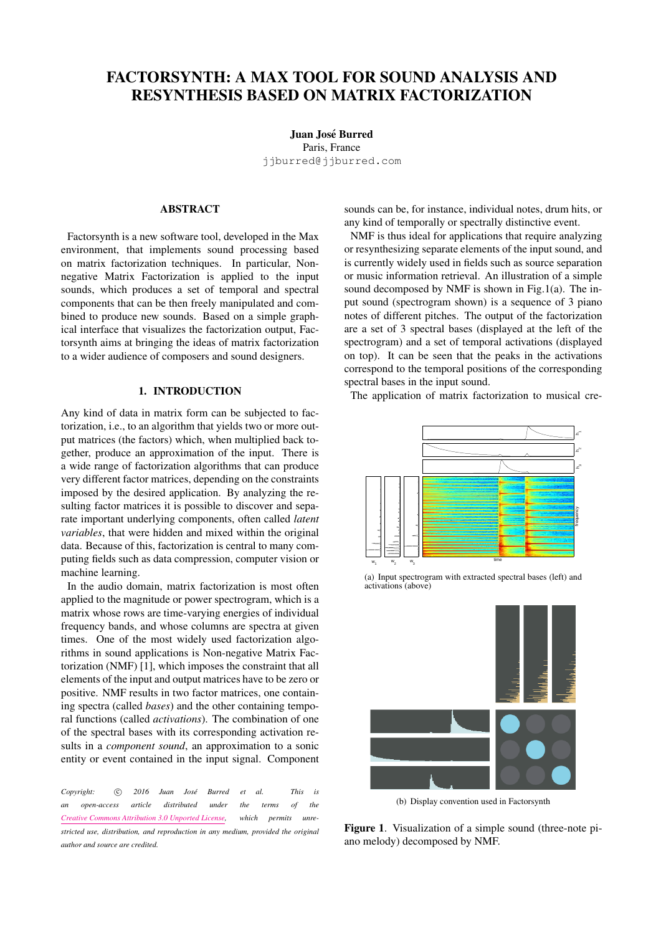# FACTORSYNTH: A MAX TOOL FOR SOUND ANALYSIS AND RESYNTHESIS BASED ON MATRIX FACTORIZATION

Juan José Burred Paris, France [jjburred@jjburred.com](mailto:jjburred@jjburred.com)

## ABSTRACT

Factorsynth is a new software tool, developed in the Max environment, that implements sound processing based on matrix factorization techniques. In particular, Nonnegative Matrix Factorization is applied to the input sounds, which produces a set of temporal and spectral components that can be then freely manipulated and combined to produce new sounds. Based on a simple graphical interface that visualizes the factorization output, Factorsynth aims at bringing the ideas of matrix factorization to a wider audience of composers and sound designers.

## 1. INTRODUCTION

Any kind of data in matrix form can be subjected to factorization, i.e., to an algorithm that yields two or more output matrices (the factors) which, when multiplied back together, produce an approximation of the input. There is a wide range of factorization algorithms that can produce very different factor matrices, depending on the constraints imposed by the desired application. By analyzing the resulting factor matrices it is possible to discover and separate important underlying components, often called *latent variables*, that were hidden and mixed within the original data. Because of this, factorization is central to many computing fields such as data compression, computer vision or machine learning.

In the audio domain, matrix factorization is most often applied to the magnitude or power spectrogram, which is a matrix whose rows are time-varying energies of individual frequency bands, and whose columns are spectra at given times. One of the most widely used factorization algorithms in sound applications is Non-negative Matrix Factorization (NMF) [\[1\]](#page-4-0), which imposes the constraint that all elements of the input and output matrices have to be zero or positive. NMF results in two factor matrices, one containing spectra (called *bases*) and the other containing temporal functions (called *activations*). The combination of one of the spectral bases with its corresponding activation results in a *component sound*, an approximation to a sonic entity or event contained in the input signal. Component

*Copyright:*  $\odot$  2016 Juan José Burred et al. This is *an open-access article distributed under the terms of the [Creative Commons Attribution 3.0 Unported License,](http://creativecommons.org/licenses/by/3.0/) which permits unrestricted use, distribution, and reproduction in any medium, provided the original author and source are credited.*

sounds can be, for instance, individual notes, drum hits, or any kind of temporally or spectrally distinctive event.

NMF is thus ideal for applications that require analyzing or resynthesizing separate elements of the input sound, and is currently widely used in fields such as source separation or music information retrieval. An illustration of a simple sound decomposed by NMF is shown in Fig[.1\(a\).](#page-0-0) The input sound (spectrogram shown) is a sequence of 3 piano notes of different pitches. The output of the factorization are a set of 3 spectral bases (displayed at the left of the spectrogram) and a set of temporal activations (displayed on top). It can be seen that the peaks in the activations correspond to the temporal positions of the corresponding spectral bases in the input sound.

The application of matrix factorization to musical cre-

<span id="page-0-0"></span>

(a) Input spectrogram with extracted spectral bases (left) and activations (above)



(b) Display convention used in Factorsynth

<span id="page-0-1"></span>Figure 1. Visualization of a simple sound (three-note piano melody) decomposed by NMF.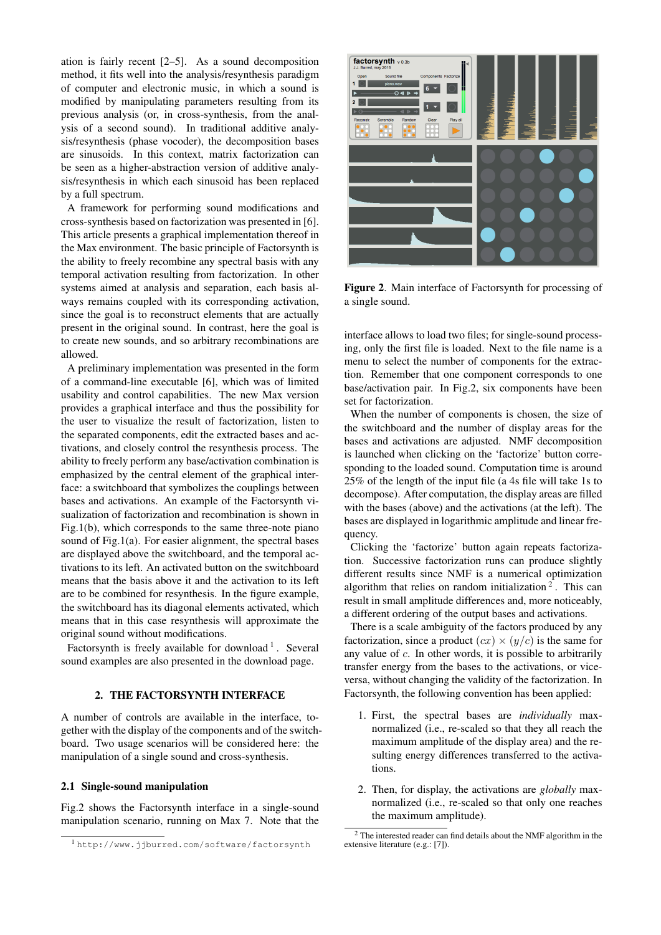ation is fairly recent [\[2–](#page-4-1)[5\]](#page-4-2). As a sound decomposition method, it fits well into the analysis/resynthesis paradigm of computer and electronic music, in which a sound is modified by manipulating parameters resulting from its previous analysis (or, in cross-synthesis, from the analysis of a second sound). In traditional additive analysis/resynthesis (phase vocoder), the decomposition bases are sinusoids. In this context, matrix factorization can be seen as a higher-abstraction version of additive analysis/resynthesis in which each sinusoid has been replaced by a full spectrum.

A framework for performing sound modifications and cross-synthesis based on factorization was presented in [\[6\]](#page-4-3). This article presents a graphical implementation thereof in the Max environment. The basic principle of Factorsynth is the ability to freely recombine any spectral basis with any temporal activation resulting from factorization. In other systems aimed at analysis and separation, each basis always remains coupled with its corresponding activation, since the goal is to reconstruct elements that are actually present in the original sound. In contrast, here the goal is to create new sounds, and so arbitrary recombinations are allowed.

A preliminary implementation was presented in the form of a command-line executable [\[6\]](#page-4-3), which was of limited usability and control capabilities. The new Max version provides a graphical interface and thus the possibility for the user to visualize the result of factorization, listen to the separated components, edit the extracted bases and activations, and closely control the resynthesis process. The ability to freely perform any base/activation combination is emphasized by the central element of the graphical interface: a switchboard that symbolizes the couplings between bases and activations. An example of the Factorsynth visualization of factorization and recombination is shown in Fig[.1\(b\),](#page-0-1) which corresponds to the same three-note piano sound of Fig[.1\(a\).](#page-0-0) For easier alignment, the spectral bases are displayed above the switchboard, and the temporal activations to its left. An activated button on the switchboard means that the basis above it and the activation to its left are to be combined for resynthesis. In the figure example, the switchboard has its diagonal elements activated, which means that in this case resynthesis will approximate the original sound without modifications.

Factorsynth is freely available for download<sup>[1](#page-1-0)</sup>. Several sound examples are also presented in the download page.

## 2. THE FACTORSYNTH INTERFACE

A number of controls are available in the interface, together with the display of the components and of the switchboard. Two usage scenarios will be considered here: the manipulation of a single sound and cross-synthesis.

#### 2.1 Single-sound manipulation

Fig[.2](#page-1-1) shows the Factorsynth interface in a single-sound manipulation scenario, running on Max 7. Note that the

<span id="page-1-1"></span>

Figure 2. Main interface of Factorsynth for processing of a single sound.

interface allows to load two files; for single-sound processing, only the first file is loaded. Next to the file name is a menu to select the number of components for the extraction. Remember that one component corresponds to one base/activation pair. In Fig[.2,](#page-1-1) six components have been set for factorization.

When the number of components is chosen, the size of the switchboard and the number of display areas for the bases and activations are adjusted. NMF decomposition is launched when clicking on the 'factorize' button corresponding to the loaded sound. Computation time is around 25% of the length of the input file (a 4s file will take 1s to decompose). After computation, the display areas are filled with the bases (above) and the activations (at the left). The bases are displayed in logarithmic amplitude and linear frequency.

Clicking the 'factorize' button again repeats factorization. Successive factorization runs can produce slightly different results since NMF is a numerical optimization algorithm that relies on random initialization<sup>[2](#page-1-2)</sup>. This can result in small amplitude differences and, more noticeably, a different ordering of the output bases and activations.

There is a scale ambiguity of the factors produced by any factorization, since a product  $(cx) \times (y/c)$  is the same for any value of c. In other words, it is possible to arbitrarily transfer energy from the bases to the activations, or viceversa, without changing the validity of the factorization. In Factorsynth, the following convention has been applied:

- 1. First, the spectral bases are *individually* maxnormalized (i.e., re-scaled so that they all reach the maximum amplitude of the display area) and the resulting energy differences transferred to the activations.
- 2. Then, for display, the activations are *globally* maxnormalized (i.e., re-scaled so that only one reaches the maximum amplitude).

<span id="page-1-0"></span><sup>1</sup> <http://www.jjburred.com/software/factorsynth>

<span id="page-1-2"></span><sup>2</sup> The interested reader can find details about the NMF algorithm in the extensive literature (e.g.: [\[7\]](#page-4-4)).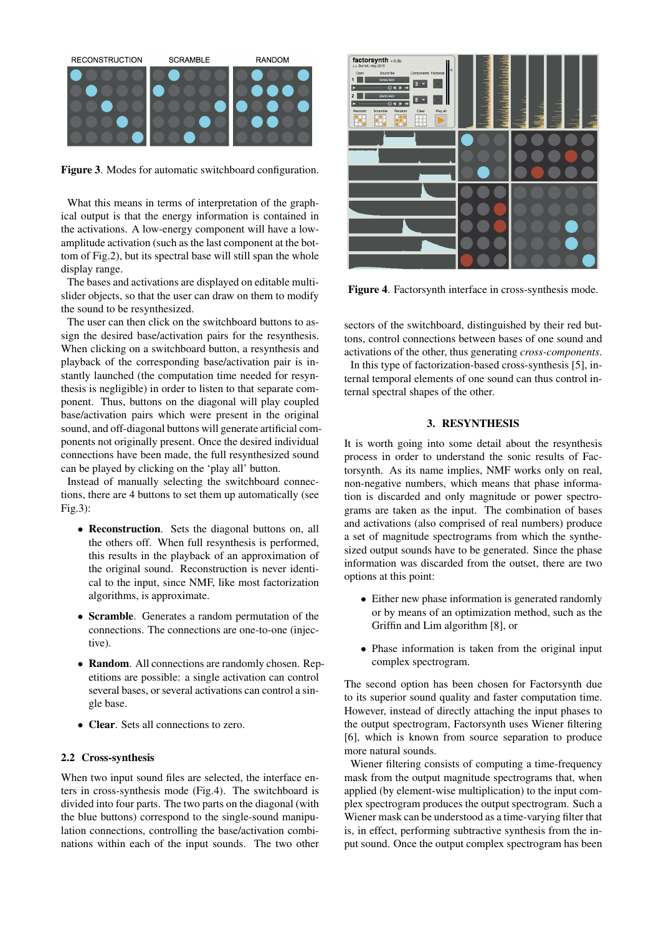<span id="page-2-0"></span>

Figure 3. Modes for automatic switchboard configuration.

What this means in terms of interpretation of the graphical output is that the energy information is contained in the activations. A low-energy component will have a lowamplitude activation (such as the last component at the bottom of Fig[.2\)](#page-1-1), but its spectral base will still span the whole display range.

The bases and activations are displayed on editable multislider objects, so that the user can draw on them to modify the sound to be resynthesized.

The user can then click on the switchboard buttons to assign the desired base/activation pairs for the resynthesis. When clicking on a switchboard button, a resynthesis and playback of the corresponding base/activation pair is instantly launched (the computation time needed for resynthesis is negligible) in order to listen to that separate component. Thus, buttons on the diagonal will play coupled base/activation pairs which were present in the original sound, and off-diagonal buttons will generate artificial components not originally present. Once the desired individual connections have been made, the full resynthesized sound can be played by clicking on the 'play all' button.

Instead of manually selecting the switchboard connections, there are 4 buttons to set them up automatically (see Fig[.3\)](#page-2-0):

- Reconstruction. Sets the diagonal buttons on, all the others off. When full resynthesis is performed, this results in the playback of an approximation of the original sound. Reconstruction is never identical to the input, since NMF, like most factorization algorithms, is approximate.
- Scramble. Generates a random permutation of the connections. The connections are one-to-one (injective).
- Random. All connections are randomly chosen. Repetitions are possible: a single activation can control several bases, or several activations can control a single base.
- Clear. Sets all connections to zero.

## 2.2 Cross-synthesis

When two input sound files are selected, the interface enters in cross-synthesis mode (Fig[.4\)](#page-2-1). The switchboard is divided into four parts. The two parts on the diagonal (with the blue buttons) correspond to the single-sound manipulation connections, controlling the base/activation combinations within each of the input sounds. The two other

<span id="page-2-1"></span>

Figure 4. Factorsynth interface in cross-synthesis mode.

sectors of the switchboard, distinguished by their red buttons, control connections between bases of one sound and activations of the other, thus generating *cross-components*.

In this type of factorization-based cross-synthesis [\[5\]](#page-4-2), internal temporal elements of one sound can thus control internal spectral shapes of the other.

## 3. RESYNTHESIS

It is worth going into some detail about the resynthesis process in order to understand the sonic results of Factorsynth. As its name implies, NMF works only on real, non-negative numbers, which means that phase information is discarded and only magnitude or power spectrograms are taken as the input. The combination of bases and activations (also comprised of real numbers) produce a set of magnitude spectrograms from which the synthesized output sounds have to be generated. Since the phase information was discarded from the outset, there are two options at this point:

- Either new phase information is generated randomly or by means of an optimization method, such as the Griffin and Lim algorithm [\[8\]](#page-4-5), or
- Phase information is taken from the original input complex spectrogram.

The second option has been chosen for Factorsynth due to its superior sound quality and faster computation time. However, instead of directly attaching the input phases to the output spectrogram, Factorsynth uses Wiener filtering [\[6\]](#page-4-3), which is known from source separation to produce more natural sounds.

Wiener filtering consists of computing a time-frequency mask from the output magnitude spectrograms that, when applied (by element-wise multiplication) to the input complex spectrogram produces the output spectrogram. Such a Wiener mask can be understood as a time-varying filter that is, in effect, performing subtractive synthesis from the input sound. Once the output complex spectrogram has been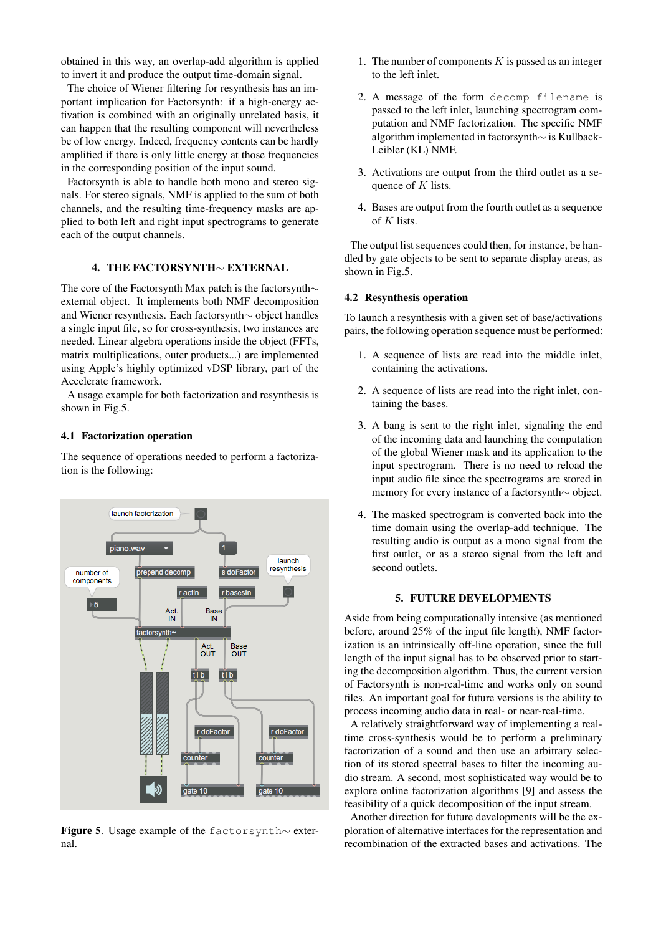obtained in this way, an overlap-add algorithm is applied to invert it and produce the output time-domain signal.

The choice of Wiener filtering for resynthesis has an important implication for Factorsynth: if a high-energy activation is combined with an originally unrelated basis, it can happen that the resulting component will nevertheless be of low energy. Indeed, frequency contents can be hardly amplified if there is only little energy at those frequencies in the corresponding position of the input sound.

Factorsynth is able to handle both mono and stereo signals. For stereo signals, NMF is applied to the sum of both channels, and the resulting time-frequency masks are applied to both left and right input spectrograms to generate each of the output channels.

## 4. THE FACTORSYNTH∼ EXTERNAL

The core of the Factorsynth Max patch is the factorsynth∼ external object. It implements both NMF decomposition and Wiener resynthesis. Each factorsynth∼ object handles a single input file, so for cross-synthesis, two instances are needed. Linear algebra operations inside the object (FFTs, matrix multiplications, outer products...) are implemented using Apple's highly optimized vDSP library, part of the Accelerate framework.

A usage example for both factorization and resynthesis is shown in Fig[.5.](#page-3-0)

#### 4.1 Factorization operation

The sequence of operations needed to perform a factorization is the following:

<span id="page-3-0"></span>

Figure 5. Usage example of the factorsynth∼ external.

- 1. The number of components  $K$  is passed as an integer to the left inlet.
- 2. A message of the form decomp filename is passed to the left inlet, launching spectrogram computation and NMF factorization. The specific NMF algorithm implemented in factorsynth∼ is Kullback-Leibler (KL) NMF.
- 3. Activations are output from the third outlet as a sequence of  $K$  lists.
- 4. Bases are output from the fourth outlet as a sequence of  $K$  lists.

The output list sequences could then, for instance, be handled by gate objects to be sent to separate display areas, as shown in Fig[.5.](#page-3-0)

#### 4.2 Resynthesis operation

To launch a resynthesis with a given set of base/activations pairs, the following operation sequence must be performed:

- 1. A sequence of lists are read into the middle inlet, containing the activations.
- 2. A sequence of lists are read into the right inlet, containing the bases.
- 3. A bang is sent to the right inlet, signaling the end of the incoming data and launching the computation of the global Wiener mask and its application to the input spectrogram. There is no need to reload the input audio file since the spectrograms are stored in memory for every instance of a factorsynth∼ object.
- 4. The masked spectrogram is converted back into the time domain using the overlap-add technique. The resulting audio is output as a mono signal from the first outlet, or as a stereo signal from the left and second outlets.

#### 5. FUTURE DEVELOPMENTS

Aside from being computationally intensive (as mentioned before, around 25% of the input file length), NMF factorization is an intrinsically off-line operation, since the full length of the input signal has to be observed prior to starting the decomposition algorithm. Thus, the current version of Factorsynth is non-real-time and works only on sound files. An important goal for future versions is the ability to process incoming audio data in real- or near-real-time.

A relatively straightforward way of implementing a realtime cross-synthesis would be to perform a preliminary factorization of a sound and then use an arbitrary selection of its stored spectral bases to filter the incoming audio stream. A second, most sophisticated way would be to explore online factorization algorithms [\[9\]](#page-4-6) and assess the feasibility of a quick decomposition of the input stream.

Another direction for future developments will be the exploration of alternative interfaces for the representation and recombination of the extracted bases and activations. The